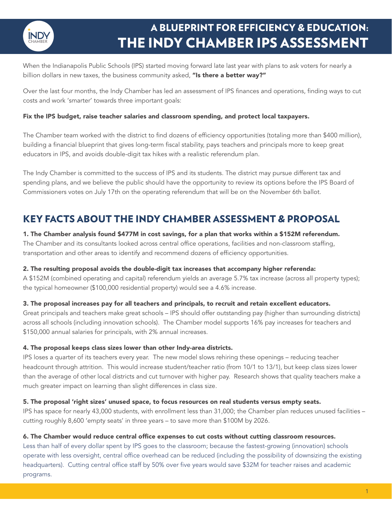

# A BLUEPRINT FOR EFFICIENCY & EDUCATION: THE INDY CHAMBER IPS ASSESSMENT

When the Indianapolis Public Schools (IPS) started moving forward late last year with plans to ask voters for nearly a billion dollars in new taxes, the business community asked, "Is there a better way?"

Over the last four months, the Indy Chamber has led an assessment of IPS finances and operations, finding ways to cut costs and work 'smarter' towards three important goals:

#### Fix the IPS budget, raise teacher salaries and classroom spending, and protect local taxpayers.

The Chamber team worked with the district to find dozens of efficiency opportunities (totaling more than \$400 million), building a financial blueprint that gives long-term fiscal stability, pays teachers and principals more to keep great educators in IPS, and avoids double-digit tax hikes with a realistic referendum plan.

The Indy Chamber is committed to the success of IPS and its students. The district may pursue different tax and spending plans, and we believe the public should have the opportunity to review its options before the IPS Board of Commissioners votes on July 17th on the operating referendum that will be on the November 6th ballot.

# KEY FACTS ABOUT THE INDY CHAMBER ASSESSMENT & PROPOSAL

### 1. The Chamber analysis found \$477M in cost savings, for a plan that works within a \$152M referendum. The Chamber and its consultants looked across central office operations, facilities and non-classroom staffing, transportation and other areas to identify and recommend dozens of efficiency opportunities.

#### 2. The resulting proposal avoids the double-digit tax increases that accompany higher referenda:

A \$152M (combined operating and capital) referendum yields an average 5.7% tax increase (across all property types); the typical homeowner (\$100,000 residential property) would see a 4.6% increase.

### 3. The proposal increases pay for all teachers and principals, to recruit and retain excellent educators.

Great principals and teachers make great schools – IPS should offer outstanding pay (higher than surrounding districts) across all schools (including innovation schools). The Chamber model supports 16% pay increases for teachers and \$150,000 annual salaries for principals, with 2% annual increases.

#### 4. The proposal keeps class sizes lower than other Indy-area districts.

IPS loses a quarter of its teachers every year. The new model slows rehiring these openings – reducing teacher headcount through attrition. This would increase student/teacher ratio (from 10/1 to 13/1), but keep class sizes lower than the average of other local districts and cut turnover with higher pay. Research shows that quality teachers make a much greater impact on learning than slight differences in class size.

#### 5. The proposal 'right sizes' unused space, to focus resources on real students versus empty seats.

IPS has space for nearly 43,000 students, with enrollment less than 31,000; the Chamber plan reduces unused facilities – cutting roughly 8,600 'empty seats' in three years – to save more than \$100M by 2026.

#### 6. The Chamber would reduce central office expenses to cut costs without cutting classroom resources.

Less than half of every dollar spent by IPS goes to the classroom; because the fastest-growing (innovation) schools operate with less oversight, central office overhead can be reduced (including the possibility of downsizing the existing headquarters). Cutting central office staff by 50% over five years would save \$32M for teacher raises and academic programs.